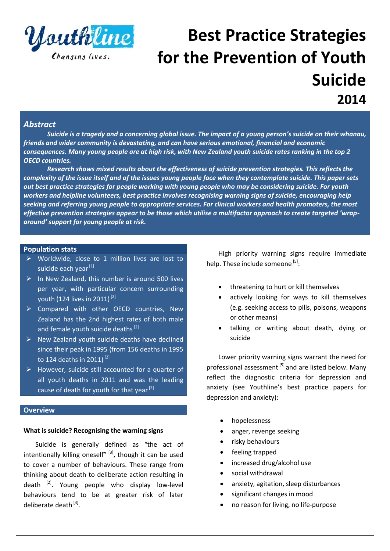

# **Best Practice Strategies for the Prevention of Youth Suicide 2014**

# *Abstract*

*Suicide is a tragedy and a concerning global issue. The impact of a young person's suicide on their whanau, friends and wider community is devastating, and can have serious emotional, financial and economic consequences. Many young people are at high risk, with New Zealand youth suicide rates ranking in the top 2 OECD countries.* 

*Research shows mixed results about the effectiveness of suicide prevention strategies. This reflects the complexity of the issue itself and of the issues young people face when they contemplate suicide. This paper sets out best practice strategies for people working with young people who may be considering suicide. For youth workers and helpline volunteers, best practice involves recognising warning signs of suicide, encouraging help seeking and referring young people to appropriate services. For clinical workers and health promoters, the most effective prevention strategies appear to be those which utilise a multifactor approach to create targeted 'wraparound' support for young people at risk.* 

#### **Population stats**

- $\triangleright$  Worldwide, close to 1 million lives are lost to suicide each year<sup>[1]</sup>
- $\triangleright$  In New Zealand, this number is around 500 lives per year, with particular concern surrounding youth (124 lives in 2011) [2]
- Compared with other OECD countries, New Zealand has the 2nd highest rates of both male and female youth suicide deaths<sup>[2]</sup>
- ▶ New Zealand youth suicide deaths have declined since their peak in 1995 (from 156 deaths in 1995 to 124 deaths in 2011)<sup>[2]</sup>
- However, suicide still accounted for a quarter of all youth deaths in 2011 and was the leading cause of death for youth for that year  $[2]$

#### **Overview**

# **What is suicide? Recognising the warning signs**

Suicide is generally defined as "the act of intentionally killing oneself" $^{[3]}$ , though it can be used to cover a number of behaviours. These range from thinking about death to deliberate action resulting in death <a>[2]</a>. Young people who display low-level behaviours tend to be at greater risk of later deliberate death<sup>[4]</sup>.

High priority warning signs require immediate help. These include someone [5]:

- threatening to hurt or kill themselves
- actively looking for ways to kill themselves (e.g. seeking access to pills, poisons, weapons or other means)
- talking or writing about death, dying or suicide

Lower priority warning signs warrant the need for professional assessment [5] and are listed below. Many reflect the diagnostic criteria for depression and anxiety (see Youthline's best practice papers for depression and anxiety):

- hopelessness
- anger, revenge seeking
- risky behaviours
- feeling trapped
- increased drug/alcohol use
- social withdrawal
- anxiety, agitation, sleep disturbances
- significant changes in mood
- no reason for living, no life-purpose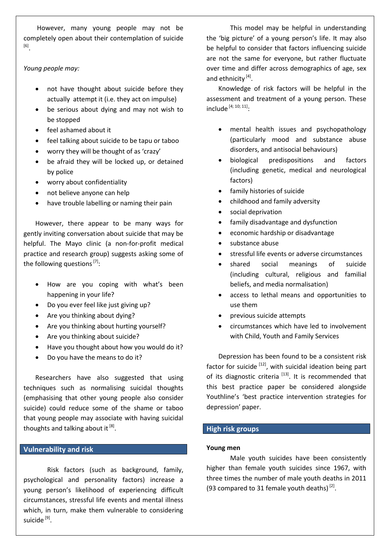However, many young people may not be completely open about their contemplation of suicide [6] .

*Young people may:*

- not have thought about suicide before they actually attempt it (i.e. they act on impulse)
- be serious about dying and may not wish to be stopped
- feel ashamed about it
- feel talking about suicide to be tapu or taboo
- worry they will be thought of as 'crazy'
- be afraid they will be locked up, or detained by police
- worry about confidentiality
- not believe anyone can help
- have trouble labelling or naming their pain

However, there appear to be many ways for gently inviting conversation about suicide that may be helpful. The Mayo clinic (a non-for-profit medical practice and research group) suggests asking some of the following questions<sup>[7]</sup>:

- How are you coping with what's been happening in your life?
- Do you ever feel like just giving up?
- Are you thinking about dying?
- Are you thinking about hurting yourself?
- Are you thinking about suicide?
- Have you thought about how you would do it?
- Do you have the means to do it?

Researchers have also suggested that using techniques such as normalising suicidal thoughts (emphasising that other young people also consider suicide) could reduce some of the shame or taboo that young people may associate with having suicidal thoughts and talking about it [8].

# **Vulnerability and risk**

Risk factors (such as background, family, psychological and personality factors) increase a young person's likelihood of experiencing difficult circumstances, stressful life events and mental illness which, in turn, make them vulnerable to considering suicide <sup>[9]</sup>.

This model may be helpful in understanding the 'big picture' of a young person's life. It may also be helpful to consider that factors influencing suicide are not the same for everyone, but rather fluctuate over time and differ across demographics of age, sex and ethnicity<sup>[4]</sup>.

Knowledge of risk factors will be helpful in the assessment and treatment of a young person. These include  $[4; 10; 11]$ :

- mental health issues and psychopathology (particularly mood and substance abuse disorders, and antisocial behaviours)
- biological predispositions and factors (including genetic, medical and neurological factors)
- family histories of suicide
- childhood and family adversity
- social deprivation
- family disadvantage and dysfunction
- economic hardship or disadvantage
- substance abuse
- stressful life events or adverse circumstances
- shared social meanings of suicide (including cultural, religious and familial beliefs, and media normalisation)
- access to lethal means and opportunities to use them
- previous suicide attempts
- circumstances which have led to involvement with Child, Youth and Family Services

Depression has been found to be a consistent risk factor for suicide  $[12]$ , with suicidal ideation being part of its diagnostic criteria  $[13]$ . It is recommended that this best practice paper be considered alongside Youthline's 'best practice intervention strategies for depression' paper.

# **High risk groups**

# **Young men**

Male youth suicides have been consistently higher than female youth suicides since 1967, with three times the number of male youth deaths in 2011 (93 compared to 31 female youth deaths) $^{[2]}$ .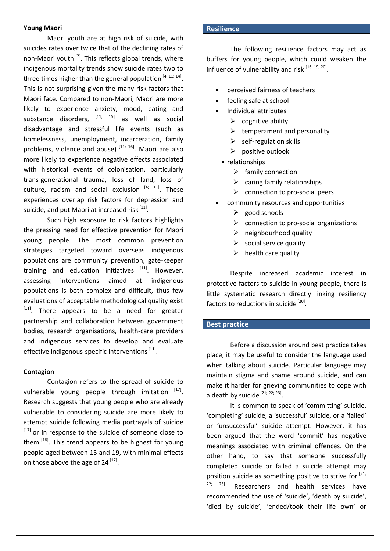#### **Young Maori**

Maori youth are at high risk of suicide, with suicides rates over twice that of the declining rates of non-Maori youth  $^{[2]}$ . This reflects global trends, where indigenous mortality trends show suicide rates two to three times higher than the general population  $^{[4; 11; 14]}$ . This is not surprising given the many risk factors that Maori face. Compared to non-Maori, Maori are more likely to experience anxiety, mood, eating and substance disorders,  $[11; 15]$  as well as social disadvantage and stressful life events (such as homelessness, unemployment, incarceration, family problems, violence and abuse)<sup>[11; 16]</sup>. Maori are also more likely to experience negative effects associated with historical events of colonisation, particularly trans-generational trauma, loss of land, loss of culture, racism and social exclusion  $[4; 11]$ . These experiences overlap risk factors for depression and suicide, and put Maori at increased risk <sup>[11]</sup>.

Such high exposure to risk factors highlights the pressing need for effective prevention for Maori young people. The most common prevention strategies targeted toward overseas indigenous populations are community prevention, gate-keeper training and education initiatives  $[11]$ . However, assessing interventions aimed at indigenous populations is both complex and difficult, thus few evaluations of acceptable methodological quality exist  $[11]$ . There appears to be a need for greater partnership and collaboration between government bodies, research organisations, health-care providers and indigenous services to develop and evaluate effective indigenous-specific interventions [11].

# **Contagion**

Contagion refers to the spread of suicide to vulnerable young people through imitation [17]. Research suggests that young people who are already vulnerable to considering suicide are more likely to attempt suicide following media portrayals of suicide  $[17]$  or in response to the suicide of someone close to them <sup>[18]</sup>. This trend appears to be highest for young people aged between 15 and 19, with minimal effects on those above the age of  $24^{[17]}$ .

# **Resilience**

The following resilience factors may act as buffers for young people, which could weaken the influence of vulnerability and risk [16; 19; 20].

- perceived fairness of teachers
- feeling safe at school
- Individual attributes
	- $\triangleright$  cognitive ability
	- $\triangleright$  temperament and personality
	- $\triangleright$  self-regulation skills
	- $\triangleright$  positive outlook
- relationships
	- $\triangleright$  family connection
	- $\triangleright$  caring family relationships
	- $\triangleright$  connection to pro-social peers
- community resources and opportunities
	- $\triangleright$  good schools
	- $\triangleright$  connection to pro-social organizations
	- $\triangleright$  neighbourhood quality
	- $\triangleright$  social service quality
	- $\triangleright$  health care quality

Despite increased academic interest in protective factors to suicide in young people, there is little systematic research directly linking resiliency factors to reductions in suicide <sup>[20]</sup>.

# **Best practice**

Before a discussion around best practice takes place, it may be useful to consider the language used when talking about suicide. Particular language may maintain stigma and shame around suicide, and can make it harder for grieving communities to cope with a death by suicide [21; 22; 23].

It is common to speak of 'committing' suicide, 'completing' suicide, a 'successful' suicide, or a 'failed' or 'unsuccessful' suicide attempt. However, it has been argued that the word 'commit' has negative meanings associated with criminal offences. On the other hand, to say that someone successfully completed suicide or failed a suicide attempt may position suicide as something positive to strive for  $[21;$  $22; 23$ . Researchers and health services have recommended the use of 'suicide', 'death by suicide', 'died by suicide', 'ended/took their life own' or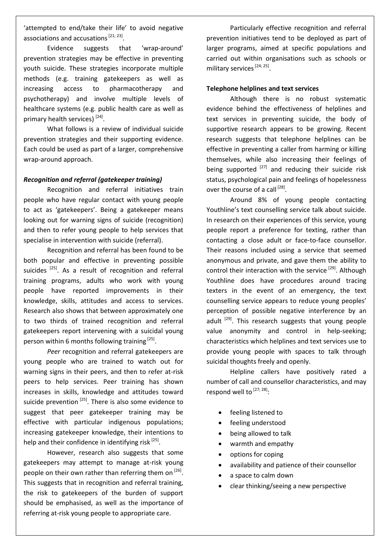'attempted to end/take their life' to avoid negative associations and accusations  $[21; 23]$ .

Evidence suggests that 'wrap-around' prevention strategies may be effective in preventing youth suicide. These strategies incorporate multiple methods (e.g. training gatekeepers as well as increasing access to pharmacotherapy and psychotherapy) and involve multiple levels of healthcare systems (e.g. public health care as well as primary health services)<sup>[24]</sup>.

What follows is a review of individual suicide prevention strategies and their supporting evidence. Each could be used as part of a larger, comprehensive wrap-around approach.

#### *Recognition and referral (gatekeeper training)*

Recognition and referral initiatives train people who have regular contact with young people to act as 'gatekeepers'. Being a gatekeeper means looking out for warning signs of suicide (recognition) and then to refer young people to help services that specialise in intervention with suicide (referral).

Recognition and referral has been found to be both popular and effective in preventing possible suicides  $[25]$ . As a result of recognition and referral training programs, adults who work with young people have reported improvements in their knowledge, skills, attitudes and access to services. Research also shows that between approximately one to two thirds of trained recognition and referral gatekeepers report intervening with a suicidal young person within 6 months following training [25].

*Peer* recognition and referral gatekeepers are young people who are trained to watch out for warning signs in their peers, and then to refer at-risk peers to help services. Peer training has shown increases in skills, knowledge and attitudes toward suicide prevention  $^{[25]}$ . There is also some evidence to suggest that peer gatekeeper training may be effective with particular indigenous populations; increasing gatekeeper knowledge, their intentions to help and their confidence in identifying risk [25].

However, research also suggests that some gatekeepers may attempt to manage at-risk young people on their own rather than referring them on <sup>[26]</sup>. This suggests that in recognition and referral training, the risk to gatekeepers of the burden of support should be emphasised, as well as the importance of referring at-risk young people to appropriate care.

Particularly effective recognition and referral prevention initiatives tend to be deployed as part of larger programs, aimed at specific populations and carried out within organisations such as schools or military services<sup>[24; 25]</sup>.

#### **Telephone helplines and text services**

Although there is no robust systematic evidence behind the effectiveness of helplines and text services in preventing suicide, the body of supportive research appears to be growing. Recent research suggests that telephone helplines can be effective in preventing a caller from harming or killing themselves, while also increasing their feelings of being supported  $^{[27]}$  and reducing their suicide risk status, psychological pain and feelings of hopelessness over the course of a call [28].

Around 8% of young people contacting Youthline's text counselling service talk about suicide. In research on their experiences of this service, young people report a preference for texting, rather than contacting a close adult or face-to-face counsellor. Their reasons included using a service that seemed anonymous and private, and gave them the ability to control their interaction with the service<sup>[29]</sup>. Although Youthline does have procedures around tracing texters in the event of an emergency, the text counselling service appears to reduce young peoples' perception of possible negative interference by an adult <sup>[29]</sup>. This research suggests that young people value anonymity and control in help-seeking; characteristics which helplines and text services use to provide young people with spaces to talk through suicidal thoughts freely and openly.

Helpline callers have positively rated a number of call and counsellor characteristics, and may respond well to  $^{[27; 28]}$ :

- feeling listened to
- feeling understood
- being allowed to talk
- warmth and empathy
- options for coping
- availability and patience of their counsellor
- a space to calm down
- clear thinking/seeing a new perspective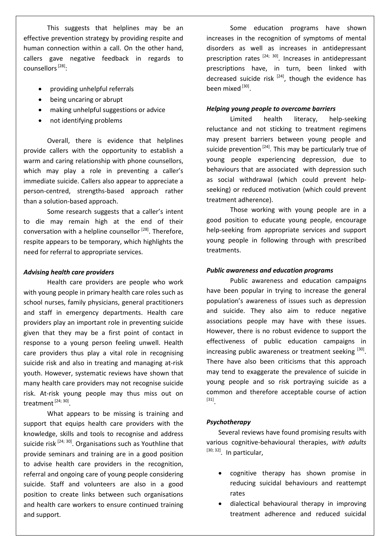This suggests that helplines may be an effective prevention strategy by providing respite and human connection within a call. On the other hand, callers gave negative feedback in regards to counsellors<sup>[28]</sup>:

- providing unhelpful referrals
- being uncaring or abrupt
- making unhelpful suggestions or advice
- not identifying problems

Overall, there is evidence that helplines provide callers with the opportunity to establish a warm and caring relationship with phone counsellors, which may play a role in preventing a caller's immediate suicide. Callers also appear to appreciate a person-centred, strengths-based approach rather than a solution-based approach.

Some research suggests that a caller's intent to die may remain high at the end of their conversation with a helpline counsellor<sup>[28]</sup>. Therefore, respite appears to be temporary, which highlights the need for referral to appropriate services.

#### *Advising health care providers*

Health care providers are people who work with young people in primary health care roles such as school nurses, family physicians, general practitioners and staff in emergency departments. Health care providers play an important role in preventing suicide given that they may be a first point of contact in response to a young person feeling unwell. Health care providers thus play a vital role in recognising suicide risk and also in treating and managing at-risk youth. However, systematic reviews have shown that many health care providers may not recognise suicide risk. At-risk young people may thus miss out on treatment [24; 30].

What appears to be missing is training and support that equips health care providers with the knowledge, skills and tools to recognise and address suicide risk <sup>[24; 30]</sup>. Organisations such as Youthline that provide seminars and training are in a good position to advise health care providers in the recognition, referral and ongoing care of young people considering suicide. Staff and volunteers are also in a good position to create links between such organisations and health care workers to ensure continued training and support.

Some education programs have shown increases in the recognition of symptoms of mental disorders as well as increases in antidepressant prescription rates  $[24; 30]$ . Increases in antidepressant prescriptions have, in turn, been linked with decreased suicide risk  $[24]$ , though the evidence has been mixed [30].

#### *Helping young people to overcome barriers*

Limited health literacy, help-seeking reluctance and not sticking to treatment regimens may present barriers between young people and suicide prevention  $^{[24]}$ . This may be particularly true of young people experiencing depression, due to behaviours that are associated with depression such as social withdrawal (which could prevent helpseeking) or reduced motivation (which could prevent treatment adherence).

Those working with young people are in a good position to educate young people, encourage help-seeking from appropriate services and support young people in following through with prescribed treatments.

#### *Public awareness and education programs*

Public awareness and education campaigns have been popular in trying to increase the general population's awareness of issues such as depression and suicide. They also aim to reduce negative associations people may have with these issues. However, there is no robust evidence to support the effectiveness of public education campaigns in increasing public awareness or treatment seeking [30]. There have also been criticisms that this approach may tend to exaggerate the prevalence of suicide in young people and so risk portraying suicide as a common and therefore acceptable course of action [31] .

# *Psychotherapy*

Several reviews have found promising results with various cognitive-behavioural therapies, *with adults* [30; 32] *.* In particular,

- cognitive therapy has shown promise in reducing suicidal behaviours and reattempt rates
- dialectical behavioural therapy in improving treatment adherence and reduced suicidal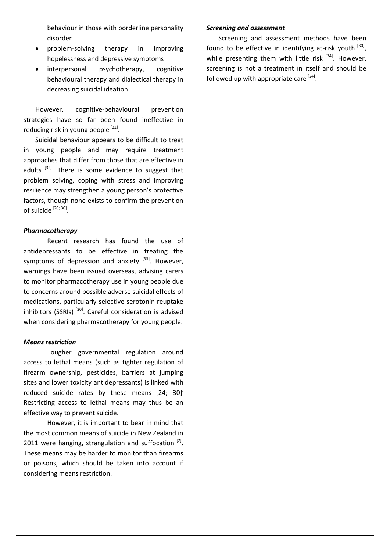behaviour in those with borderline personality disorder

- problem-solving therapy in improving hopelessness and depressive symptoms
- interpersonal psychotherapy, cognitive behavioural therapy and dialectical therapy in decreasing suicidal ideation

However, cognitive-behavioural prevention strategies have so far been found ineffective in reducing risk in young people [32].

Suicidal behaviour appears to be difficult to treat in young people and may require treatment approaches that differ from those that are effective in adults <sup>[32]</sup>. There is some evidence to suggest that problem solving, coping with stress and improving resilience may strengthen a young person's protective factors, though none exists to confirm the prevention of suicide [20; 30].

#### *Pharmacotherapy*

Recent research has found the use of antidepressants to be effective in treating the symptoms of depression and anxiety  $[33]$ . However, warnings have been issued overseas, advising carers to monitor pharmacotherapy use in young people due to concerns around possible adverse suicidal effects of medications, particularly selective serotonin reuptake inhibitors (SSRIs)  $[30]$ . Careful consideration is advised when considering pharmacotherapy for young people.

#### *Means restriction*

Tougher governmental regulation around access to lethal means (such as tighter regulation of firearm ownership, pesticides, barriers at jumping sites and lower toxicity antidepressants) is linked with reduced suicide rates by these means [24; 30]. Restricting access to lethal means may thus be an effective way to prevent suicide.

However, it is important to bear in mind that the most common means of suicide in New Zealand in 2011 were hanging, strangulation and suffocation  $^{[2]}$ . These means may be harder to monitor than firearms or poisons, which should be taken into account if considering means restriction.

#### *Screening and assessment*

Screening and assessment methods have been found to be effective in identifying at-risk youth [30], while presenting them with little risk  $[24]$ . However, screening is not a treatment in itself and should be followed up with appropriate care <sup>[24]</sup>.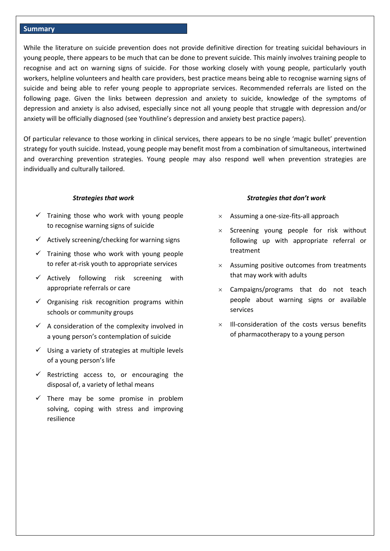#### **Summary**

While the literature on suicide prevention does not provide definitive direction for treating suicidal behaviours in young people, there appears to be much that can be done to prevent suicide. This mainly involves training people to recognise and act on warning signs of suicide. For those working closely with young people, particularly youth workers, helpline volunteers and health care providers, best practice means being able to recognise warning signs of suicide and being able to refer young people to appropriate services. Recommended referrals are listed on the following page. Given the links between depression and anxiety to suicide, knowledge of the symptoms of depression and anxiety is also advised, especially since not all young people that struggle with depression and/or anxiety will be officially diagnosed (see Youthline's depression and anxiety best practice papers).

Of particular relevance to those working in clinical services, there appears to be no single 'magic bullet' prevention strategy for youth suicide. Instead, young people may benefit most from a combination of simultaneous, intertwined and overarching prevention strategies. Young people may also respond well when prevention strategies are individually and culturally tailored.

#### *Strategies that work*

- $\checkmark$  Training those who work with young people to recognise warning signs of suicide
- $\checkmark$  Actively screening/checking for warning signs
- $\checkmark$  Training those who work with young people to refer at-risk youth to appropriate services
- $\checkmark$  Actively following risk screening with appropriate referrals or care
- $\checkmark$  Organising risk recognition programs within schools or community groups
- $\checkmark$  A consideration of the complexity involved in a young person's contemplation of suicide
- $\checkmark$  Using a variety of strategies at multiple levels of a young person's life
- $\checkmark$  Restricting access to, or encouraging the disposal of, a variety of lethal means
- $\checkmark$  There may be some promise in problem solving, coping with stress and improving resilience

#### *Strategies that don't work*

- $\times$  Assuming a one-size-fits-all approach
- $\times$  Screening young people for risk without following up with appropriate referral or treatment
- $\times$  Assuming positive outcomes from treatments that may work with adults
- $\times$  Campaigns/programs that do not teach people about warning signs or available services
- $\times$  Ill-consideration of the costs versus benefits of pharmacotherapy to a young person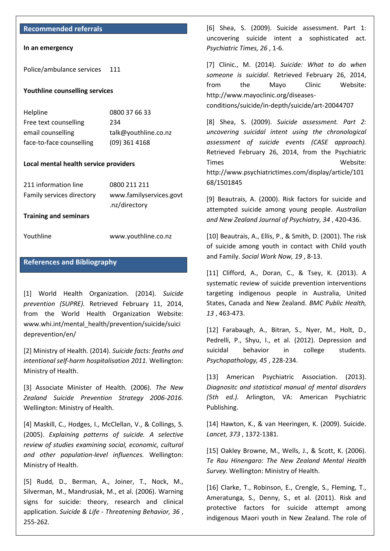#### **Recommended referrals**

#### **In an emergency**

Police/ambulance services 111

#### **Youthline counselling services**

| Helpline                 | 0800 37 66 33        |
|--------------------------|----------------------|
| Free text counselling    | 234                  |
| email counselling        | talk@youthline.co.nz |
| face-to-face counselling | $(09)$ 361 4168      |

#### **Local mental health service providers**

| 0800 211 211            |
|-------------------------|
| www.familyservices.govt |
| .nz/directory           |
|                         |

**Training and seminars**

Youthline [www.youthline.co.nz](http://www.youthline.co.nz/) 

# **References and Bibliography**

[1] World Health Organization. (2014). *Suicide prevention (SUPRE).* Retrieved February 11, 2014, from the World Health Organization Website: www.whi.int/mental\_health/prevention/suicide/suici deprevention/en/

[2] Ministry of Health. (2014). *Suicide facts: feaths and intentional self-harm hospitalisation 2011.* Wellington: Ministry of Health.

[3] Associate Minister of Health. (2006). *The New Zealand Suicide Prevention Strategy 2006-2016.* Wellington: Ministry of Health.

[4] Maskill, C., Hodges, I., McClellan, V., & Collings, S. (2005). *Explaining patterns of suicide. A selective review of studies examining social, economic, cultural and other population-level influences.* Wellington: Ministry of Health.

[5] Rudd, D., Berman, A., Joiner, T., Nock, M., Silverman, M., Mandrusiak, M., et al. (2006). Warning signs for suicide: theory, research and clinical application. *Suicide & Life - Threatening Behavior, 36* , 255-262.

[6] Shea, S. (2009). Suicide assessment. Part 1: uncovering suicide intent a sophisticated act. *Psychiatric Times, 26* , 1-6.

[7] Clinic., M. (2014). *Suicide: What to do when someone is suicidal*. Retrieved February 26, 2014, from the Mayo Clinic Website: http://www.mayoclinic.org/diseases-

conditions/suicide/in-depth/suicide/art-20044707

[8] Shea, S. (2009). *Suicide assessment. Part 2: uncovering suicidal intent using the chronological assessment of suicide events (CASE approach).* Retrieved February 26, 2014, from the Psychiatric Times Website: http://www.psychiatrictimes.com/display/article/101 68/1501845

[9] Beautrais, A. (2000). Risk factors for suicide and attempted suicide among young people. *Australian and New Zealand Journal of Psychiatry, 34* , 420-436.

[10] Beautrais, A., Ellis, P., & Smith, D. (2001). The risk of suicide among youth in contact with Child youth and Family. *Social Work Now, 19* , 8-13.

[11] Clifford, A., Doran, C., & Tsey, K. (2013). A systematic review of suicide prevention interventions targeting indigenous people in Australia, United States, Canada and New Zealand. *BMC Public Health, 13* , 463-473.

[12] Farabaugh, A., Bitran, S., Nyer, M., Holt, D., Pedrelli, P., Shyu, I., et al. (2012). Depression and suicidal behavior in college students. *Psychopathology, 45* , 228-234.

[13] American Psychiatric Association. (2013). *Diagnositc and statistical manual of mental disorders (5th ed.).* Arlington, VA: American Psychiatric Publishing.

[14] Hawton, K., & van Heeringen, K. (2009). Suicide. *Lancet, 373* , 1372-1381.

[15] Oakley Browne, M., Wells, J., & Scott, K. (2006). *Te Rau Hinengaro: The New Zealand Mental Health Survey.* Wellington: Ministry of Health.

[16] Clarke, T., Robinson, E., Crengle, S., Fleming, T., Ameratunga, S., Denny, S., et al. (2011). Risk and protective factors for suicide attempt among indigenous Maori youth in New Zealand. The role of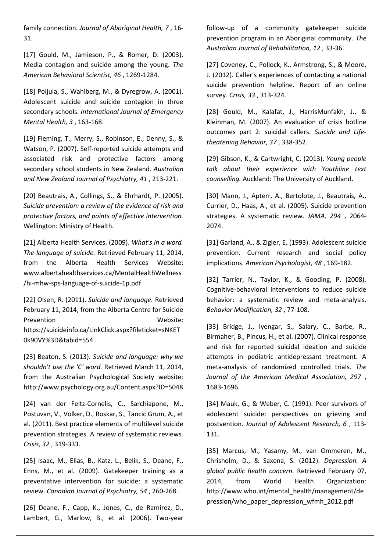family connection. *Journal of Aboriginal Health, 7* , 16- 31.

[17] Gould, M., Jamieson, P., & Romer, D. (2003). Media contagion and suicide among the young. *The American Behavioral Scientist, 46* , 1269-1284.

[18] Poijula, S., Wahlberg, M., & Dyregrow, A. (2001). Adolescent suicide and suicide contagion in three secondary schools. *International Journal of Emergency Mental Health, 3* , 163-168.

[19] Fleming, T., Merry, S., Robinson, E., Denny, S., & Watson, P. (2007). Self-reported suicide attempts and associated risk and protective factors among secondary school students in New Zealand. *Australian and New Zealand Journal of Psychiatry, 41* , 213-221.

[20] Beautrais, A., Collings, S., & Ehrhardt, P. (2005). *Suicide prevention: a review of the evidence of risk and protective factors, and points of effective intervention.* Wellington: Ministry of Health.

[21] Alberta Health Services. (2009). *What's in a word. The language of suicide.* Retrieved February 11, 2014, from the Alberta Health Services Website: www.albertahealthservices.ca/MentalHealthWellness /hi-mhw-sps-language-of-suicide-1p.pdf

[22] Olsen, R. (2011). *Suicide and language.* Retrieved February 11, 2014, from the Alberta Centre for Suicide Prevention **Website:** https://suicideinfo.ca/LinkClick.aspx?fileticket=sNKET 0k90VY%3D&tabid=554

[23] Beaton, S. (2013). *Suicide and language: why we shouldn't use the 'C' word.* Retrieved March 11, 2014, from the Australian Psychological Society website: http://www.psychology.org.au/Content.aspx?ID=5048

[24] van der Feltz-Cornelis, C., Sarchiapone, M., Postuvan, V., Volker, D., Roskar, S., Tancic Grum, A., et al. (2011). Best practice elements of multilevel suicide prevention strategies. A review of systematic reviews. *Crisis, 32* , 319-333.

[25] Isaac, M., Elias, B., Katz, L., Belik, S., Deane, F., Enns, M., et al. (2009). Gatekeeper training as a preventative intervention for suicide: a systematic review. *Canadian Journal of Psychiatry, 54* , 260-268.

[26] Deane, F., Capp, K., Jones, C., de Ramirez, D., Lambert, G., Marlow, B., et al. (2006). Two-year

follow-up of a community gatekeeper suicide prevention program in an Aboriginal community. *The Australian Journal of Rehabilitation, 12* , 33-36.

[27] Coveney, C., Pollock, K., Armstrong, S., & Moore, J. (2012). Caller's experiences of contacting a national suicide prevention helpline. Report of an online survey. *Crisis, 33* , 313-324.

[28] Gould, M., Kalafat, J., HarrisMunfakh, J., & Kleinman, M. (2007). An evaluation of crisis hotline outcomes part 2: suicidal callers. *Suicide and Lifetheatening Behavior, 37* , 338-352.

[29] Gibson, K., & Cartwright, C. (2013). *Young people talk about their experience with Youthline text counselling.* Auckland: The University of Auckland.

[30] Mann, J., Apterr, A., Bertolote, J., Beautrais, A., Currier, D., Haas, A., et al. (2005). Suicide prevention strategies. A systematic review. *JAMA, 294* , 2064- 2074.

[31] Garland, A., & Zigler, E. (1993). Adolescent suicide prevention. Current research and social policy implications. *American Psychologist, 48* , 169-182.

[32] Tarrier, N., Taylor, K., & Gooding, P. (2008). Cognitive-behavioral interventions to reduce suicide behavior: a systematic review and meta-analysis. *Behavior Modification, 32* , 77-108.

[33] Bridge, J., Iyengar, S., Salary, C., Barbe, R., Birmaher, B., Pincus, H., et al. (2007). Clinical response and risk for reported suicidal ideation and suicide attempts in pediatric antidepressant treatment. A meta-analysis of randomized controlled trials. *The Journal of the American Medical Association, 297* , 1683-1696.

[34] Mauk, G., & Weber, C. (1991). Peer survivors of adolescent suicide: perspectives on grieving and postvention. *Journal of Adolescent Research, 6* , 113- 131.

[35] Marcus, M., Yasamy, M., van Ommeren, M., Chrisholm, D., & Saxena, S. (2012). *Depression. A global public health concern.* Retrieved February 07, 2014, from World Health Organization: http://www.who.int/mental\_health/management/de pression/who\_paper\_depression\_wfmh\_2012.pdf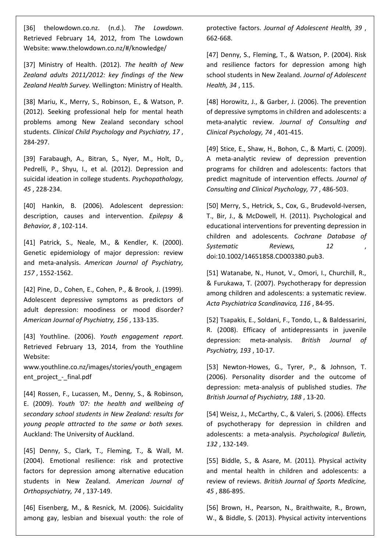[36] thelowdown.co.nz. (n.d.). *The Lowdown*. Retrieved February 14, 2012, from The Lowdown Website: www.thelowdown.co.nz/#/knowledge/

[37] Ministry of Health. (2012). *The health of New Zealand adults 2011/2012: key findings of the New Zealand Health Survey.* Wellington: Ministry of Health.

[38] Mariu, K., Merry, S., Robinson, E., & Watson, P. (2012). Seeking professional help for mental heath problems among New Zealand secondary school students. *Clinical Child Psychology and Psychiatry, 17* , 284-297.

[39] Farabaugh, A., Bitran, S., Nyer, M., Holt, D., Pedrelli, P., Shyu, I., et al. (2012). Depression and suicidal ideation in college students. *Psychopathology, 45* , 228-234.

[40] Hankin, B. (2006). Adolescent depression: description, causes and intervention. *Epilepsy & Behavior, 8* , 102-114.

[41] Patrick, S., Neale, M., & Kendler, K. (2000). Genetic epidemiology of major depression: review and meta-analysis. *American Journal of Psychiatry, 157* , 1552-1562.

[42] Pine, D., Cohen, E., Cohen, P., & Brook, J. (1999). Adolescent depressive symptoms as predictors of adult depression: moodiness or mood disorder? *American Journal of Psychiatry, 156* , 133-135.

[43] Youthline. (2006). *Youth engagement report.* Retrieved February 13, 2014, from the Youthline Website:

www.youthline.co.nz/images/stories/youth\_engagem ent\_project - final.pdf

[44] Rossen, F., Lucassen, M., Denny, S., & Robinson, E. (2009). *Youth '07: the health and wellbeing of secondary school students in New Zealand: results for young people attracted to the same or both sexes.* Auckland: The University of Auckland.

[45] Denny, S., Clark, T., Fleming, T., & Wall, M. (2004). Emotional resilience: risk and protective factors for depression among alternative education students in New Zealand. *American Journal of Orthopsychiatry, 74* , 137-149.

[46] Eisenberg, M., & Resnick, M. (2006). Suicidality among gay, lesbian and bisexual youth: the role of protective factors. *Journal of Adolescent Health, 39* , 662-668.

[47] Denny, S., Fleming, T., & Watson, P. (2004). Risk and resilience factors for depression among high school students in New Zealand. *Journal of Adolescent Health, 34* , 115.

[48] Horowitz, J., & Garber, J. (2006). The prevention of depressive symptoms in children and adolescents: a meta-analytic review. *Journal of Consulting and Clinical Psychology, 74* , 401-415.

[49] Stice, E., Shaw, H., Bohon, C., & Marti, C. (2009). A meta-analytic review of depression prevention programs for children and adolescents: factors that predict magnitude of intervention effects. *Journal of Consulting and Clinical Psychology, 77* , 486-503.

[50] Merry, S., Hetrick, S., Cox, G., Brudevold-Iversen, T., Bir, J., & McDowell, H. (2011). Psychological and educational interventions for preventing depression in children and adolescents. *Cochrane Database of Systematic Reviews, 12* , doi:10.1002/14651858.CD003380.pub3.

[51] Watanabe, N., Hunot, V., Omori, I., Churchill, R., & Furukawa, T. (2007). Psychotherapy for depression among children and adolescents: a systematic review. *Acta Psychiatrica Scandinavica, 116* , 84-95.

[52] Tsapakis, E., Soldani, F., Tondo, L., & Baldessarini, R. (2008). Efficacy of antidepressants in juvenile depression: meta-analysis. *British Journal of Psychiatry, 193* , 10-17.

[53] Newton-Howes, G., Tyrer, P., & Johnson, T. (2006). Personality disorder and the outcome of depression: meta-analysis of published studies. *The British Journal of Psychiatry, 188* , 13-20.

[54] Weisz, J., McCarthy, C., & Valeri, S. (2006). Effects of psychotherapy for depression in children and adolescents: a meta-analysis. *Psychological Bulletin, 132* , 132-149.

[55] Biddle, S., & Asare, M. (2011). Physical activity and mental health in children and adolescents: a review of reviews. *British Journal of Sports Medicine, 45* , 886-895.

[56] Brown, H., Pearson, N., Braithwaite, R., Brown, W., & Biddle, S. (2013). Physical activity interventions